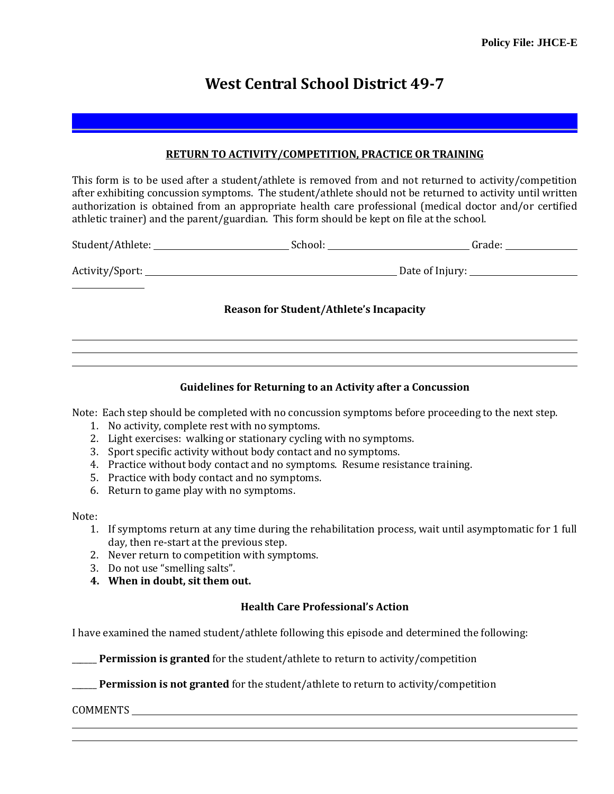# **West Central School District 49-7**

### **RETURN TO ACTIVITY/COMPETITION, PRACTICE OR TRAINING**

This form is to be used after a student/athlete is removed from and not returned to activity/competition after exhibiting concussion symptoms. The student/athlete should not be returned to activity until written authorization is obtained from an appropriate health care professional (medical doctor and/or certified athletic trainer) and the parent/guardian. This form should be kept on file at the school.

|                                                |  | Grade: $\_\_$                            |
|------------------------------------------------|--|------------------------------------------|
|                                                |  | Date of Injury: ________________________ |
| <b>Reason for Student/Athlete's Incapacity</b> |  |                                          |
|                                                |  |                                          |

#### **Guidelines for Returning to an Activity after a Concussion**

Note: Each step should be completed with no concussion symptoms before proceeding to the next step.

- 1. No activity, complete rest with no symptoms.
- 2. Light exercises: walking or stationary cycling with no symptoms.
- 3. Sport specific activity without body contact and no symptoms.
- 4. Practice without body contact and no symptoms. Resume resistance training.
- 5. Practice with body contact and no symptoms.
- 6. Return to game play with no symptoms.

#### Note:

- 1. If symptoms return at any time during the rehabilitation process, wait until asymptomatic for 1 full day, then re-start at the previous step.
- 2. Never return to competition with symptoms.
- 3. Do not use "smelling salts".
- **4. When in doubt, sit them out.**

## **Health Care Professional's Action**

I have examined the named student/athlete following this episode and determined the following:

**Permission is granted** for the student/athlete to return to activity/competition

**Permission is not granted** for the student/athlete to return to activity/competition

COMMENTS